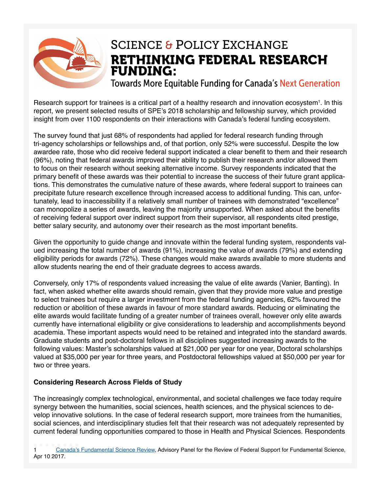

### RETHINKING FEDERAL RESEARCH FUNDING: SCIENCE & POLICY EXCHANGE

Towards More Equitable Funding for Canada's Next Generation

Research support for trainees is a critical part of a healthy research and innovation ecosystem<sup>1</sup>. In this report, we present selected results of SPE's 2018 scholarship and fellowship survey, which provided insight from over 1100 respondents on their interactions with Canada's federal funding ecosystem.

The survey found that just 68% of respondents had applied for federal research funding through tri-agency scholarships or fellowships and, of that portion, only 52% were successful. Despite the low awardee rate, those who did receive federal support indicated a clear beneft to them and their research (96%), noting that federal awards improved their ability to publish their research and/or allowed them to focus on their research without seeking alternative income. Survey respondents indicated that the primary beneft of these awards was their potential to increase the success of their future grant applications. This demonstrates the cumulative nature of these awards, where federal support to trainees can precipitate future research excellence through increased access to additional funding. This can, unfortunately, lead to inaccessibility if a relatively small number of trainees with demonstrated "excellence" can monopolize a series of awards, leaving the majority unsupported. When asked about the benefts of receiving federal support over indirect support from their supervisor, all respondents cited prestige, better salary security, and autonomy over their research as the most important benefts.

Given the opportunity to guide change and innovate within the federal funding system, respondents valued increasing the total number of awards (91%), increasing the value of awards (79%) and extending eligibility periods for awards (72%). These changes would make awards available to more students and allow students nearing the end of their graduate degrees to access awards.

Conversely, only 17% of respondents valued increasing the value of elite awards (Vanier, Banting). In fact, when asked whether elite awards should remain, given that they provide more value and prestige to select trainees but require a larger investment from the federal funding agencies, 62% favoured the reduction or abolition of these awards in favour of more standard awards. Reducing or eliminating the elite awards would facilitate funding of a greater number of trainees overall, however only elite awards currently have international eligibility or give considerations to leadership and accomplishments beyond academia. These important aspects would need to be retained and integrated into the standard awards. Graduate students and post-doctoral fellows in all disciplines suggested increasing awards to the following values: Master's scholarships valued at \$21,000 per year for one year, Doctoral scholarships valued at \$35,000 per year for three years, and Postdoctoral fellowships valued at \$50,000 per year for two or three years.

#### **Considering Research Across Fields of Study**

The increasingly complex technological, environmental, and societal challenges we face today require synergy between the humanities, social sciences, health sciences, and the physical sciences to develop innovative solutions. In the case of federal research support, more trainees from the humanities, social sciences, and interdisciplinary studies felt that their research was not adequately represented by current federal funding opportunities compared to those in Health and Physical Sciences. Respondents

1 [Canada's Fundamental Science Review](http://www.sciencereview.ca/eic/site/059.nsf/eng/home), Advisory Panel for the Review of Federal Support for Fundamental Science, Apr 10 2017.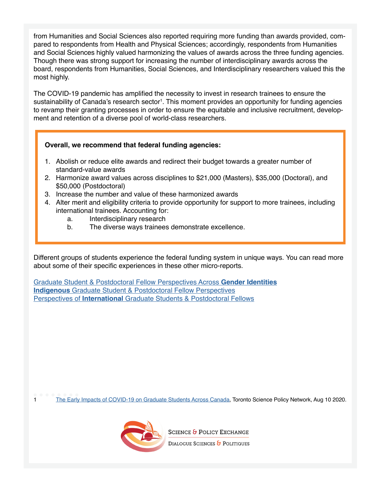from Humanities and Social Sciences also reported requiring more funding than awards provided, compared to respondents from Health and Physical Sciences; accordingly, respondents from Humanities and Social Sciences highly valued harmonizing the values of awards across the three funding agencies. Though there was strong support for increasing the number of interdisciplinary awards across the board, respondents from Humanities, Social Sciences, and Interdisciplinary researchers valued this the most highly.

The COVID-19 pandemic has amplifed the necessity to invest in research trainees to ensure the sustainability of Canada's research sector<sup>1</sup>. This moment provides an opportunity for funding agencies to revamp their granting processes in order to ensure the equitable and inclusive recruitment, development and retention of a diverse pool of world-class researchers.

#### **Overall, we recommend that federal funding agencies:**

- 1. Abolish or reduce elite awards and redirect their budget towards a greater number of standard-value awards
- 2. Harmonize award values across disciplines to \$21,000 (Masters), \$35,000 (Doctoral), and \$50,000 (Postdoctoral)
- 3. Increase the number and value of these harmonized awards
- 4. Alter merit and eligibility criteria to provide opportunity for support to more trainees, including international trainees. Accounting for:
	- a. Interdisciplinary research
	- b. The diverse ways trainees demonstrate excellence.

Different groups of students experience the federal funding system in unique ways. You can read more about some of their specific experiences in these other micro-reports.

[Graduate Student & Postdoctoral Fellow Perspectives Across](https://95323b55-8978-495d-94dd-ed077c2bade4.filesusr.com/ugd/7fd26f_9824c8296fa4493c87f53af2a5f289bc.pdf) **Gender Identities Indigenous** [Graduate Student & Postdoctoral Fellow Perspectives](https://95323b55-8978-495d-94dd-ed077c2bade4.filesusr.com/ugd/7fd26f_77f29d3999db40e38d4d2d67fcab630f.pdf) Perspectives of **International** [Graduate Students & Postdoctoral Fellows](https://95323b55-8978-495d-94dd-ed077c2bade4.filesusr.com/ugd/7fd26f_045d14284dae48a3b19fb1249b35572e.pdf)

1 [The Early Impacts of COVID-19 on Graduate Students Across Canada,](https://tspn.ca/covid19-report/) Toronto Science Policy Network, Aug 10 2020.



**SCIENCE & POLICY EXCHANGE** 

DIALOGUE SCIENCES & POLITIQUES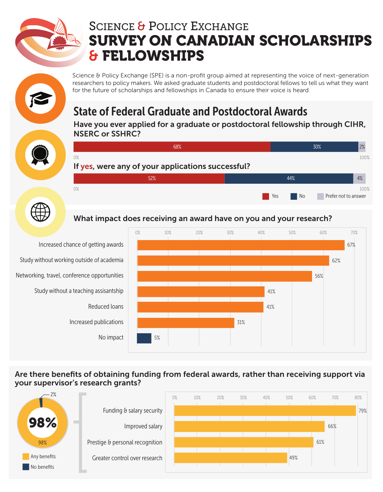

# SCIENCE & POLICY EXCHANGE SURVEY ON CANADIAN SCHOLARSHIPS & FELLOWSHIPS

Science & Policy Exchange (SPE) is a non-profit group aimed at representing the voice of next-generation researchers to policy makers. We asked graduate students and postdoctoral fellows to tell us what they want for the future of scholarships and fellowships in Canada to ensure their voice is heard.

# State of Federal Graduate and Postdoctoral Awards

Have you ever applied for a graduate or postdoctoral fellowship through CIHR, NSERC or SSHRC?





#### What impact does receiving an award have on you and your research?



Increased chance of getting awards Study without a teaching assisantship Reduced loans Increased publications No impact Networking, travel, conference opportunities Study without working outside of academia

#### Are there benefits of obtaining funding from federal awards, rather than receiving support via your supervisor's research grants?

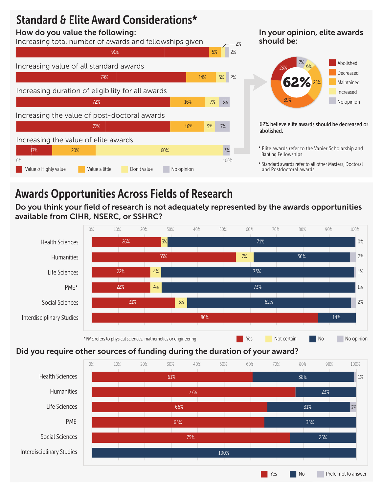### Standard & Elite Award Considerations\*

#### How do you value the following:



#### In your opinion, elite awards should be:



62% believe elite awards should be decreased or abolished.

- \* Elite awards refer to the Vanier Scholarship and Banting Fellowships
- \* Standard awards refer to all other Masters, Doctoral and Postdoctoral awards

## Awards Opportunities Across Fields of Research

Do you think your field of research is not adequately represented by the awards opportunities available from CIHR, NSERC, or SSHRC?



#### Did you require other sources of funding during the duration of your award?